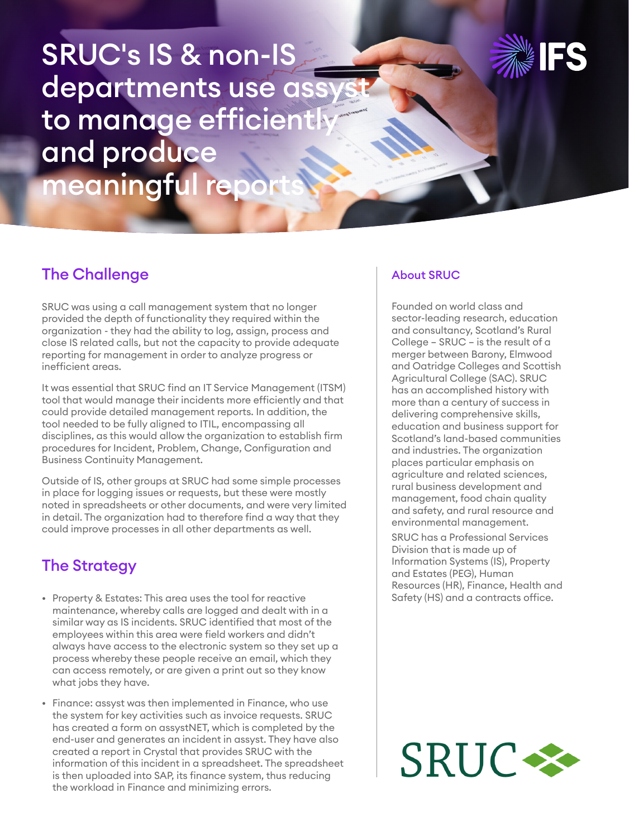SRUC's IS & non-IS departments use ass to manage efficiently and produce meaningful repo



# The Challenge

SRUC was using a call management system that no longer provided the depth of functionality they required within the organization - they had the ability to log, assign, process and close IS related calls, but not the capacity to provide adequate reporting for management in order to analyze progress or inefficient areas.

It was essential that SRUC find an IT Service Management (ITSM) tool that would manage their incidents more efficiently and that could provide detailed management reports. In addition, the tool needed to be fully aligned to ITIL, encompassing all disciplines, as this would allow the organization to establish firm procedures for Incident, Problem, Change, Configuration and Business Continuity Management.

Outside of IS, other groups at SRUC had some simple processes in place for logging issues or requests, but these were mostly noted in spreadsheets or other documents, and were very limited in detail. The organization had to therefore find a way that they could improve processes in all other departments as well.

### The Strategy

- Property & Estates: This area uses the tool for reactive maintenance, whereby calls are logged and dealt with in a similar way as IS incidents. SRUC identified that most of the employees within this area were field workers and didn't always have access to the electronic system so they set up a process whereby these people receive an email, which they can access remotely, or are given a print out so they know what jobs they have.
- Finance: assyst was then implemented in Finance, who use the system for key activities such as invoice requests. SRUC has created a form on assystNET, which is completed by the end-user and generates an incident in assyst. They have also created a report in Crystal that provides SRUC with the information of this incident in a spreadsheet. The spreadsheet is then uploaded into SAP, its finance system, thus reducing the workload in Finance and minimizing errors.

#### About SRUC

Founded on world class and sector-leading research, education and consultancy, Scotland's Rural College – SRUC – is the result of a merger between Barony, Elmwood and Oatridge Colleges and Scottish Agricultural College (SAC). SRUC has an accomplished history with more than a century of success in delivering comprehensive skills, education and business support for Scotland's land-based communities and industries. The organization places particular emphasis on agriculture and related sciences, rural business development and management, food chain quality and safety, and rural resource and environmental management.

SRUC has a Professional Services Division that is made up of Information Systems (IS), Property and Estates (PEG), Human Resources (HR), Finance, Health and Safety (HS) and a contracts office.